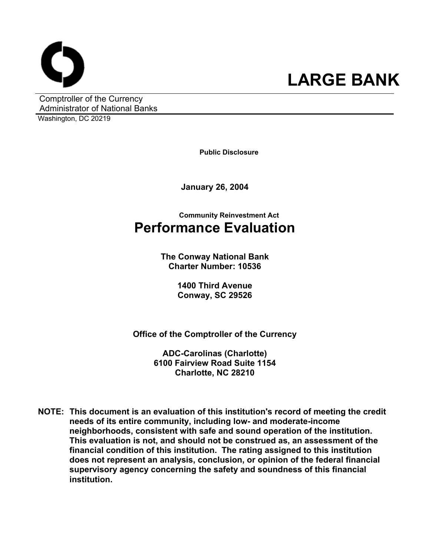

Comptroller of the Currency Administrator of National Banks Washington, DC 20219

**Public Disclosure**

**January 26, 2004** 

**Community Reinvestment Act Performance Evaluation** 

> **The Conway National Bank Charter Number: 10536**

> > **1400 Third Avenue Conway, SC 29526**

**Office of the Comptroller of the Currency** 

**ADC-Carolinas (Charlotte) 6100 Fairview Road Suite 1154 Charlotte, NC 28210** 

**NOTE: This document is an evaluation of this institution's record of meeting the credit needs of its entire community, including low- and moderate-income neighborhoods, consistent with safe and sound operation of the institution.** **This evaluation is not, and should not be construed as, an assessment of the financial condition of this institution. The rating assigned to this institution does not represent an analysis, conclusion, or opinion of the federal financial supervisory agency concerning the safety and soundness of this financial institution.**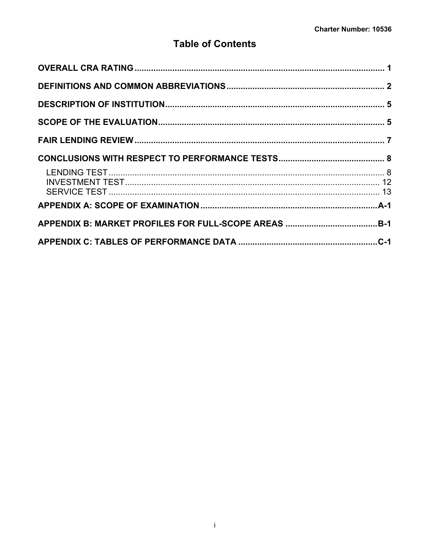# **Table of Contents**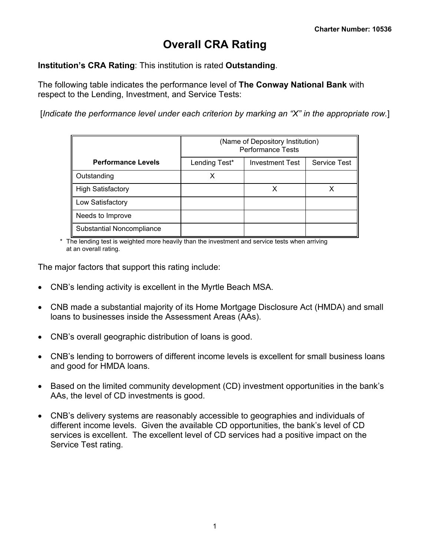# **Overall CRA Rating**

<span id="page-2-0"></span>**Institution's CRA Rating**: This institution is rated **Outstanding**.

The following table indicates the performance level of **The Conway National Bank** with respect to the Lending, Investment, and Service Tests:

[*Indicate the performance level under each criterion by marking an "X" in the appropriate row.*]

|                           | (Name of Depository Institution)<br><b>Performance Tests</b> |                        |                     |  |  |  |  |  |  |  |
|---------------------------|--------------------------------------------------------------|------------------------|---------------------|--|--|--|--|--|--|--|
| <b>Performance Levels</b> | Lending Test*                                                | <b>Investment Test</b> | <b>Service Test</b> |  |  |  |  |  |  |  |
| Outstanding               |                                                              |                        |                     |  |  |  |  |  |  |  |
| <b>High Satisfactory</b>  |                                                              |                        |                     |  |  |  |  |  |  |  |
| Low Satisfactory          |                                                              |                        |                     |  |  |  |  |  |  |  |
| Needs to Improve          |                                                              |                        |                     |  |  |  |  |  |  |  |
| Substantial Noncompliance |                                                              |                        |                     |  |  |  |  |  |  |  |

\* The lending test is weighted more heavily than the investment and service tests when arriving at an overall rating.

The major factors that support this rating include:

- CNB's lending activity is excellent in the Myrtle Beach MSA.
- CNB made a substantial majority of its Home Mortgage Disclosure Act (HMDA) and small loans to businesses inside the Assessment Areas (AAs).
- CNB's overall geographic distribution of loans is good.
- CNB's lending to borrowers of different income levels is excellent for small business loans and good for HMDA loans.
- Based on the limited community development (CD) investment opportunities in the bank's AAs, the level of CD investments is good.
- CNB's delivery systems are reasonably accessible to geographies and individuals of different income levels. Given the available CD opportunities, the bank's level of CD services is excellent. The excellent level of CD services had a positive impact on the Service Test rating.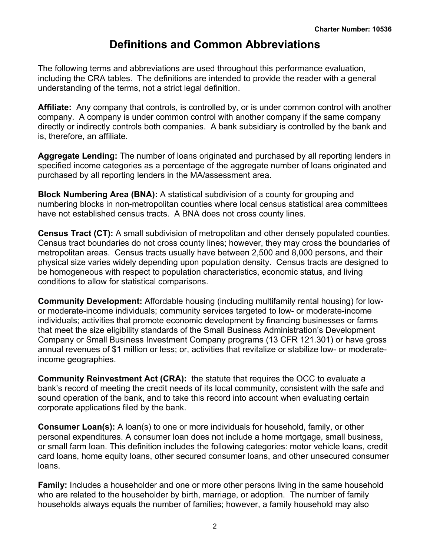# **Definitions and Common Abbreviations**

<span id="page-3-0"></span>The following terms and abbreviations are used throughout this performance evaluation, including the CRA tables. The definitions are intended to provide the reader with a general understanding of the terms, not a strict legal definition.

**Affiliate:** Any company that controls, is controlled by, or is under common control with another company. A company is under common control with another company if the same company directly or indirectly controls both companies. A bank subsidiary is controlled by the bank and is, therefore, an affiliate.

**Aggregate Lending:** The number of loans originated and purchased by all reporting lenders in specified income categories as a percentage of the aggregate number of loans originated and purchased by all reporting lenders in the MA/assessment area.

**Block Numbering Area (BNA):** A statistical subdivision of a county for grouping and numbering blocks in non-metropolitan counties where local census statistical area committees have not established census tracts. A BNA does not cross county lines.

**Census Tract (CT):** A small subdivision of metropolitan and other densely populated counties. Census tract boundaries do not cross county lines; however, they may cross the boundaries of metropolitan areas. Census tracts usually have between 2,500 and 8,000 persons, and their physical size varies widely depending upon population density. Census tracts are designed to be homogeneous with respect to population characteristics, economic status, and living conditions to allow for statistical comparisons.

**Community Development:** Affordable housing (including multifamily rental housing) for lowor moderate-income individuals; community services targeted to low- or moderate-income individuals; activities that promote economic development by financing businesses or farms that meet the size eligibility standards of the Small Business Administration's Development Company or Small Business Investment Company programs (13 CFR 121.301) or have gross annual revenues of \$1 million or less; or, activities that revitalize or stabilize low- or moderateincome geographies.

**Community Reinvestment Act (CRA):** the statute that requires the OCC to evaluate a bank's record of meeting the credit needs of its local community, consistent with the safe and sound operation of the bank, and to take this record into account when evaluating certain corporate applications filed by the bank.

**Consumer Loan(s):** A loan(s) to one or more individuals for household, family, or other personal expenditures. A consumer loan does not include a home mortgage, small business, or small farm loan. This definition includes the following categories: motor vehicle loans, credit card loans, home equity loans, other secured consumer loans, and other unsecured consumer loans.

**Family:** Includes a householder and one or more other persons living in the same household who are related to the householder by birth, marriage, or adoption. The number of family households always equals the number of families; however, a family household may also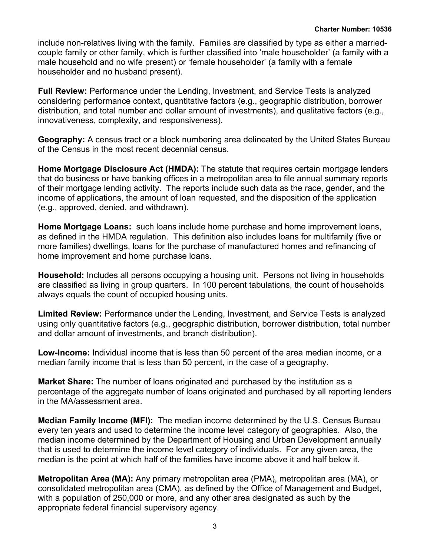include non-relatives living with the family. Families are classified by type as either a marriedcouple family or other family, which is further classified into 'male householder' (a family with a male household and no wife present) or 'female householder' (a family with a female householder and no husband present).

**Full Review:** Performance under the Lending, Investment, and Service Tests is analyzed considering performance context, quantitative factors (e.g., geographic distribution, borrower distribution, and total number and dollar amount of investments), and qualitative factors (e.g., innovativeness, complexity, and responsiveness).

**Geography:** A census tract or a block numbering area delineated by the United States Bureau of the Census in the most recent decennial census.

**Home Mortgage Disclosure Act (HMDA):** The statute that requires certain mortgage lenders that do business or have banking offices in a metropolitan area to file annual summary reports of their mortgage lending activity. The reports include such data as the race, gender, and the income of applications, the amount of loan requested, and the disposition of the application (e.g., approved, denied, and withdrawn).

**Home Mortgage Loans:** such loans include home purchase and home improvement loans, as defined in the HMDA regulation. This definition also includes loans for multifamily (five or more families) dwellings, loans for the purchase of manufactured homes and refinancing of home improvement and home purchase loans.

**Household:** Includes all persons occupying a housing unit. Persons not living in households are classified as living in group quarters. In 100 percent tabulations, the count of households always equals the count of occupied housing units.

**Limited Review:** Performance under the Lending, Investment, and Service Tests is analyzed using only quantitative factors (e.g., geographic distribution, borrower distribution, total number and dollar amount of investments, and branch distribution).

**Low-Income:** Individual income that is less than 50 percent of the area median income, or a median family income that is less than 50 percent, in the case of a geography.

**Market Share:** The number of loans originated and purchased by the institution as a percentage of the aggregate number of loans originated and purchased by all reporting lenders in the MA/assessment area.

**Median Family Income (MFI):** The median income determined by the U.S. Census Bureau every ten years and used to determine the income level category of geographies. Also, the median income determined by the Department of Housing and Urban Development annually that is used to determine the income level category of individuals. For any given area, the median is the point at which half of the families have income above it and half below it.

**Metropolitan Area (MA):** Any primary metropolitan area (PMA), metropolitan area (MA), or consolidated metropolitan area (CMA), as defined by the Office of Management and Budget, with a population of 250,000 or more, and any other area designated as such by the appropriate federal financial supervisory agency.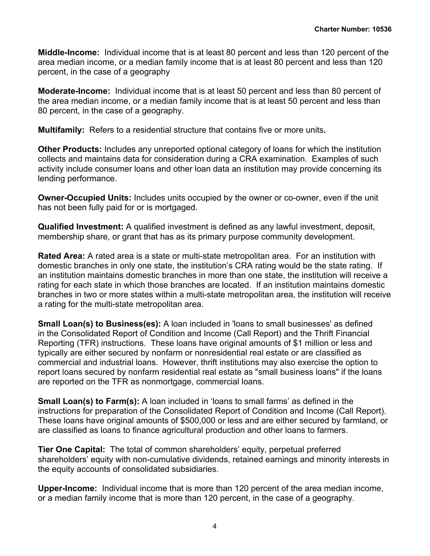**Middle-Income:** Individual income that is at least 80 percent and less than 120 percent of the area median income, or a median family income that is at least 80 percent and less than 120 percent, in the case of a geography

**Moderate-Income:** Individual income that is at least 50 percent and less than 80 percent of the area median income, or a median family income that is at least 50 percent and less than 80 percent, in the case of a geography.

**Multifamily:** Refers to a residential structure that contains five or more units**.**

**Other Products:** Includes any unreported optional category of loans for which the institution collects and maintains data for consideration during a CRA examination. Examples of such activity include consumer loans and other loan data an institution may provide concerning its lending performance.

**Owner-Occupied Units:** Includes units occupied by the owner or co-owner, even if the unit has not been fully paid for or is mortgaged.

**Qualified Investment:** A qualified investment is defined as any lawful investment, deposit, membership share, or grant that has as its primary purpose community development.

**Rated Area:** A rated area is a state or multi-state metropolitan area. For an institution with domestic branches in only one state, the institution's CRA rating would be the state rating. If an institution maintains domestic branches in more than one state, the institution will receive a rating for each state in which those branches are located. If an institution maintains domestic branches in two or more states within a multi-state metropolitan area, the institution will receive a rating for the multi-state metropolitan area.

**Small Loan(s) to Business(es):** A loan included in 'loans to small businesses' as defined in the Consolidated Report of Condition and Income (Call Report) and the Thrift Financial Reporting (TFR) instructions. These loans have original amounts of \$1 million or less and typically are either secured by nonfarm or nonresidential real estate or are classified as commercial and industrial loans. However, thrift institutions may also exercise the option to report loans secured by nonfarm residential real estate as "small business loans" if the loans are reported on the TFR as nonmortgage, commercial loans.

**Small Loan(s) to Farm(s):** A loan included in 'loans to small farms' as defined in the instructions for preparation of the Consolidated Report of Condition and Income (Call Report). These loans have original amounts of \$500,000 or less and are either secured by farmland, or are classified as loans to finance agricultural production and other loans to farmers.

**Tier One Capital:** The total of common shareholders' equity, perpetual preferred shareholders' equity with non-cumulative dividends, retained earnings and minority interests in the equity accounts of consolidated subsidiaries.

**Upper-Income:** Individual income that is more than 120 percent of the area median income, or a median family income that is more than 120 percent, in the case of a geography.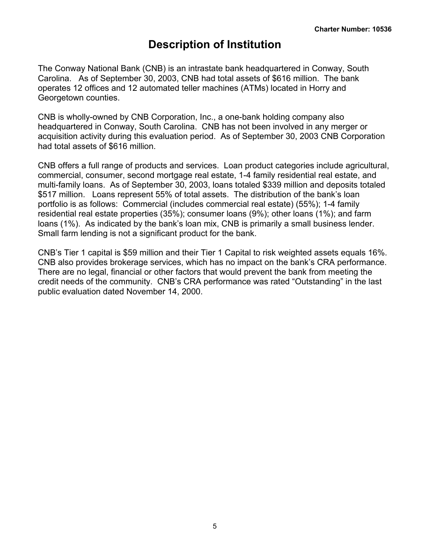# **Description of Institution**

<span id="page-6-0"></span>The Conway National Bank (CNB) is an intrastate bank headquartered in Conway, South Carolina. As of September 30, 2003, CNB had total assets of \$616 million. The bank operates 12 offices and 12 automated teller machines (ATMs) located in Horry and Georgetown counties.

CNB is wholly-owned by CNB Corporation, Inc., a one-bank holding company also headquartered in Conway, South Carolina. CNB has not been involved in any merger or acquisition activity during this evaluation period. As of September 30, 2003 CNB Corporation had total assets of \$616 million.

CNB offers a full range of products and services. Loan product categories include agricultural, commercial, consumer, second mortgage real estate, 1-4 family residential real estate, and multi-family loans. As of September 30, 2003, loans totaled \$339 million and deposits totaled \$517 million. Loans represent 55% of total assets. The distribution of the bank's loan portfolio is as follows: Commercial (includes commercial real estate) (55%); 1-4 family residential real estate properties (35%); consumer loans (9%); other loans (1%); and farm loans (1%). As indicated by the bank's loan mix, CNB is primarily a small business lender. Small farm lending is not a significant product for the bank.

CNB's Tier 1 capital is \$59 million and their Tier 1 Capital to risk weighted assets equals 16%. CNB also provides brokerage services, which has no impact on the bank's CRA performance. There are no legal, financial or other factors that would prevent the bank from meeting the credit needs of the community. CNB's CRA performance was rated "Outstanding" in the last public evaluation dated November 14, 2000.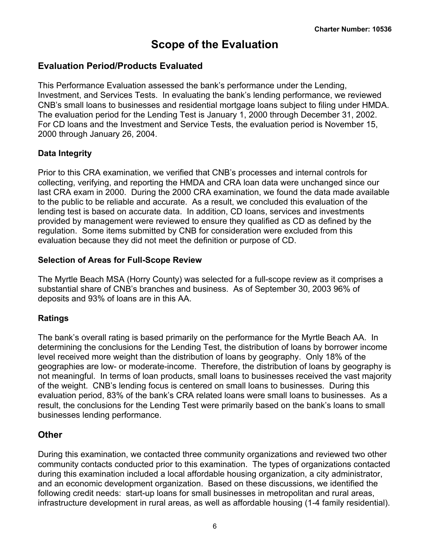# **Scope of the Evaluation**

### <span id="page-7-0"></span>**Evaluation Period/Products Evaluated**

This Performance Evaluation assessed the bank's performance under the Lending, Investment, and Services Tests. In evaluating the bank's lending performance, we reviewed CNB's small loans to businesses and residential mortgage loans subject to filing under HMDA. The evaluation period for the Lending Test is January 1, 2000 through December 31, 2002. For CD loans and the Investment and Service Tests, the evaluation period is November 15, 2000 through January 26, 2004.

#### **Data Integrity**

Prior to this CRA examination, we verified that CNB's processes and internal controls for collecting, verifying, and reporting the HMDA and CRA loan data were unchanged since our last CRA exam in 2000. During the 2000 CRA examination, we found the data made available to the public to be reliable and accurate. As a result, we concluded this evaluation of the lending test is based on accurate data. In addition, CD loans, services and investments provided by management were reviewed to ensure they qualified as CD as defined by the regulation. Some items submitted by CNB for consideration were excluded from this evaluation because they did not meet the definition or purpose of CD.

#### **Selection of Areas for Full-Scope Review**

The Myrtle Beach MSA (Horry County) was selected for a full-scope review as it comprises a substantial share of CNB's branches and business. As of September 30, 2003 96% of deposits and 93% of loans are in this AA.

#### **Ratings**

The bank's overall rating is based primarily on the performance for the Myrtle Beach AA. In determining the conclusions for the Lending Test, the distribution of loans by borrower income level received more weight than the distribution of loans by geography. Only 18% of the geographies are low- or moderate-income. Therefore, the distribution of loans by geography is not meaningful. In terms of loan products, small loans to businesses received the vast majority of the weight. CNB's lending focus is centered on small loans to businesses. During this evaluation period, 83% of the bank's CRA related loans were small loans to businesses. As a result, the conclusions for the Lending Test were primarily based on the bank's loans to small businesses lending performance.

## **Other**

During this examination, we contacted three community organizations and reviewed two other community contacts conducted prior to this examination. The types of organizations contacted during this examination included a local affordable housing organization, a city administrator, and an economic development organization. Based on these discussions, we identified the following credit needs: start-up loans for small businesses in metropolitan and rural areas, infrastructure development in rural areas, as well as affordable housing (1-4 family residential).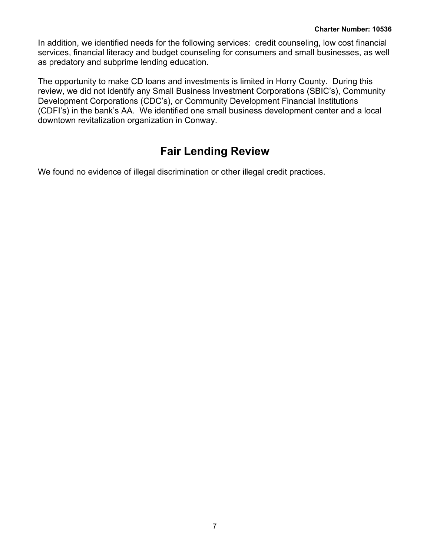<span id="page-8-0"></span>In addition, we identified needs for the following services: credit counseling, low cost financial services, financial literacy and budget counseling for consumers and small businesses, as well as predatory and subprime lending education.

The opportunity to make CD loans and investments is limited in Horry County. During this review, we did not identify any Small Business Investment Corporations (SBIC's), Community Development Corporations (CDC's), or Community Development Financial Institutions (CDFI's) in the bank's AA. We identified one small business development center and a local downtown revitalization organization in Conway.

# **Fair Lending Review**

We found no evidence of illegal discrimination or other illegal credit practices.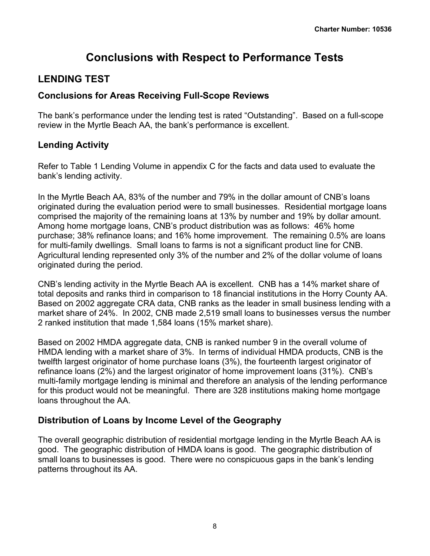# **Conclusions with Respect to Performance Tests**

# <span id="page-9-0"></span>**LENDING TEST**

## **Conclusions for Areas Receiving Full-Scope Reviews**

The bank's performance under the lending test is rated "Outstanding". Based on a full-scope review in the Myrtle Beach AA, the bank's performance is excellent.

## **Lending Activity**

Refer to Table 1 Lending Volume in appendix C for the facts and data used to evaluate the bank's lending activity.

In the Myrtle Beach AA, 83% of the number and 79% in the dollar amount of CNB's loans originated during the evaluation period were to small businesses. Residential mortgage loans comprised the majority of the remaining loans at 13% by number and 19% by dollar amount. Among home mortgage loans, CNB's product distribution was as follows: 46% home purchase; 38% refinance loans; and 16% home improvement. The remaining 0.5% are loans for multi-family dwellings. Small loans to farms is not a significant product line for CNB. Agricultural lending represented only 3% of the number and 2% of the dollar volume of loans originated during the period.

CNB's lending activity in the Myrtle Beach AA is excellent. CNB has a 14% market share of total deposits and ranks third in comparison to 18 financial institutions in the Horry County AA. Based on 2002 aggregate CRA data, CNB ranks as the leader in small business lending with a market share of 24%. In 2002, CNB made 2,519 small loans to businesses versus the number 2 ranked institution that made 1,584 loans (15% market share).

Based on 2002 HMDA aggregate data, CNB is ranked number 9 in the overall volume of HMDA lending with a market share of 3%. In terms of individual HMDA products, CNB is the twelfth largest originator of home purchase loans (3%), the fourteenth largest originator of refinance loans (2%) and the largest originator of home improvement loans (31%). CNB's multi-family mortgage lending is minimal and therefore an analysis of the lending performance for this product would not be meaningful. There are 328 institutions making home mortgage loans throughout the AA.

## **Distribution of Loans by Income Level of the Geography**

The overall geographic distribution of residential mortgage lending in the Myrtle Beach AA is good. The geographic distribution of HMDA loans is good. The geographic distribution of small loans to businesses is good. There were no conspicuous gaps in the bank's lending patterns throughout its AA.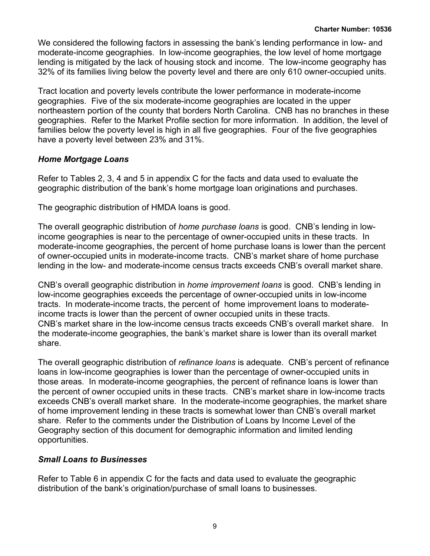We considered the following factors in assessing the bank's lending performance in low- and moderate-income geographies. In low-income geographies, the low level of home mortgage lending is mitigated by the lack of housing stock and income. The low-income geography has 32% of its families living below the poverty level and there are only 610 owner-occupied units.

Tract location and poverty levels contribute the lower performance in moderate-income geographies. Five of the six moderate-income geographies are located in the upper northeastern portion of the county that borders North Carolina. CNB has no branches in these geographies. Refer to the Market Profile section for more information. In addition, the level of families below the poverty level is high in all five geographies. Four of the five geographies have a poverty level between 23% and 31%.

#### *Home Mortgage Loans*

Refer to Tables 2, 3, 4 and 5 in appendix C for the facts and data used to evaluate the geographic distribution of the bank's home mortgage loan originations and purchases.

The geographic distribution of HMDA loans is good.

The overall geographic distribution of *home purchase loans* is good. CNB's lending in lowincome geographies is near to the percentage of owner-occupied units in these tracts. In moderate-income geographies, the percent of home purchase loans is lower than the percent of owner-occupied units in moderate-income tracts. CNB's market share of home purchase lending in the low- and moderate-income census tracts exceeds CNB's overall market share.

CNB's overall geographic distribution in *home improvement loans* is good. CNB's lending in low-income geographies exceeds the percentage of owner-occupied units in low-income tracts. In moderate-income tracts, the percent of home improvement loans to moderateincome tracts is lower than the percent of owner occupied units in these tracts. CNB's market share in the low-income census tracts exceeds CNB's overall market share. In the moderate-income geographies, the bank's market share is lower than its overall market share.

The overall geographic distribution of *refinance loans* is adequate. CNB's percent of refinance loans in low-income geographies is lower than the percentage of owner-occupied units in those areas. In moderate-income geographies, the percent of refinance loans is lower than the percent of owner occupied units in these tracts. CNB's market share in low-income tracts exceeds CNB's overall market share. In the moderate-income geographies, the market share of home improvement lending in these tracts is somewhat lower than CNB's overall market share. Refer to the comments under the Distribution of Loans by Income Level of the Geography section of this document for demographic information and limited lending opportunities.

#### *Small Loans to Businesses*

Refer to Table 6 in appendix C for the facts and data used to evaluate the geographic distribution of the bank's origination/purchase of small loans to businesses.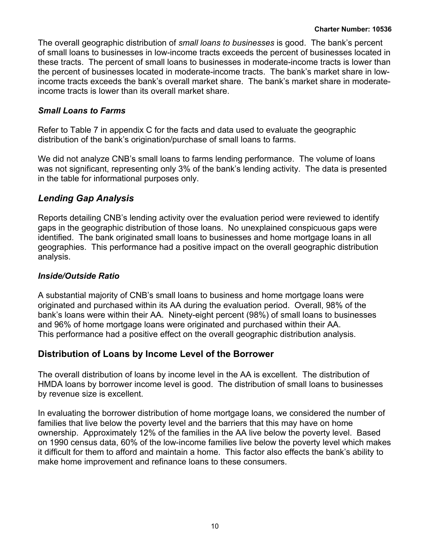The overall geographic distribution of *small loans to businesses* is good. The bank's percent of small loans to businesses in low-income tracts exceeds the percent of businesses located in these tracts. The percent of small loans to businesses in moderate-income tracts is lower than the percent of businesses located in moderate-income tracts. The bank's market share in lowincome tracts exceeds the bank's overall market share. The bank's market share in moderateincome tracts is lower than its overall market share.

#### *Small Loans to Farms*

Refer to Table 7 in appendix C for the facts and data used to evaluate the geographic distribution of the bank's origination/purchase of small loans to farms.

We did not analyze CNB's small loans to farms lending performance. The volume of loans was not significant, representing only 3% of the bank's lending activity. The data is presented in the table for informational purposes only.

## *Lending Gap Analysis*

Reports detailing CNB's lending activity over the evaluation period were reviewed to identify gaps in the geographic distribution of those loans. No unexplained conspicuous gaps were identified. The bank originated small loans to businesses and home mortgage loans in all geographies. This performance had a positive impact on the overall geographic distribution analysis.

#### *Inside/Outside Ratio*

A substantial majority of CNB's small loans to business and home mortgage loans were originated and purchased within its AA during the evaluation period. Overall, 98% of the bank's loans were within their AA. Ninety-eight percent (98%) of small loans to businesses and 96% of home mortgage loans were originated and purchased within their AA. This performance had a positive effect on the overall geographic distribution analysis.

## **Distribution of Loans by Income Level of the Borrower**

The overall distribution of loans by income level in the AA is excellent. The distribution of HMDA loans by borrower income level is good. The distribution of small loans to businesses by revenue size is excellent.

In evaluating the borrower distribution of home mortgage loans, we considered the number of families that live below the poverty level and the barriers that this may have on home ownership. Approximately 12% of the families in the AA live below the poverty level. Based on 1990 census data, 60% of the low-income families live below the poverty level which makes it difficult for them to afford and maintain a home. This factor also effects the bank's ability to make home improvement and refinance loans to these consumers.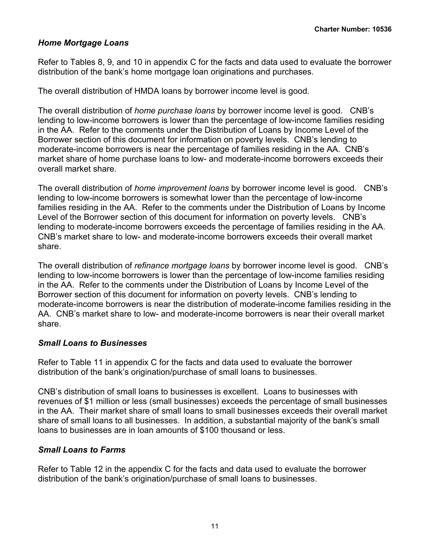#### *Home Mortgage Loans*

Refer to Tables 8, 9, and 10 in appendix C for the facts and data used to evaluate the borrower distribution of the bank's home mortgage loan originations and purchases.

The overall distribution of HMDA loans by borrower income level is good.

The overall distribution of *home purchase loans* by borrower income level is good. CNB's lending to low-income borrowers is lower than the percentage of low-income families residing in the AA. Refer to the comments under the Distribution of Loans by Income Level of the Borrower section of this document for information on poverty levels. CNB's lending to moderate-income borrowers is near the percentage of families residing in the AA. CNB's market share of home purchase loans to low- and moderate-income borrowers exceeds their overall market share.

The overall distribution of *home improvement loans* by borrower income level is good. CNB's lending to low-income borrowers is somewhat lower than the percentage of low-income families residing in the AA. Refer to the comments under the Distribution of Loans by Income Level of the Borrower section of this document for information on poverty levels. CNB's lending to moderate-income borrowers exceeds the percentage of families residing in the AA. CNB's market share to low- and moderate-income borrowers exceeds their overall market share.

The overall distribution of *refinance mortgage loans* by borrower income level is good. CNB's lending to low-income borrowers is lower than the percentage of low-income families residing in the AA. Refer to the comments under the Distribution of Loans by Income Level of the Borrower section of this document for information on poverty levels. CNB's lending to moderate-income borrowers is near the distribution of moderate-income families residing in the AA. CNB's market share to low- and moderate-income borrowers is near their overall market share.

#### *Small Loans to Businesses*

Refer to Table 11 in appendix C for the facts and data used to evaluate the borrower distribution of the bank's origination/purchase of small loans to businesses.

CNB's distribution of small loans to businesses is excellent. Loans to businesses with revenues of \$1 million or less (small businesses) exceeds the percentage of small businesses in the AA. Their market share of small loans to small businesses exceeds their overall market share of small loans to all businesses. In addition, a substantial majority of the bank's small loans to businesses are in loan amounts of \$100 thousand or less.

#### *Small Loans to Farms*

Refer to Table 12 in the appendix C for the facts and data used to evaluate the borrower distribution of the bank's origination/purchase of small loans to businesses.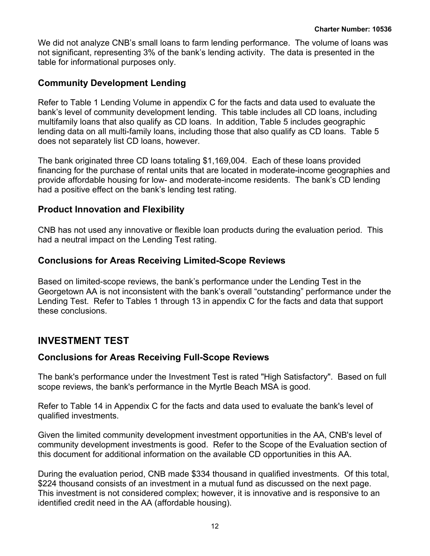<span id="page-13-0"></span>We did not analyze CNB's small loans to farm lending performance. The volume of loans was not significant, representing 3% of the bank's lending activity. The data is presented in the table for informational purposes only.

## **Community Development Lending**

Refer to Table 1 Lending Volume in appendix C for the facts and data used to evaluate the bank's level of community development lending. This table includes all CD loans, including multifamily loans that also qualify as CD loans. In addition, Table 5 includes geographic lending data on all multi-family loans, including those that also qualify as CD loans. Table 5 does not separately list CD loans, however.

The bank originated three CD loans totaling \$1,169,004. Each of these loans provided financing for the purchase of rental units that are located in moderate-income geographies and provide affordable housing for low- and moderate-income residents. The bank's CD lending had a positive effect on the bank's lending test rating.

#### **Product Innovation and Flexibility**

CNB has not used any innovative or flexible loan products during the evaluation period. This had a neutral impact on the Lending Test rating.

## **Conclusions for Areas Receiving Limited-Scope Reviews**

Based on limited-scope reviews, the bank's performance under the Lending Test in the Georgetown AA is not inconsistent with the bank's overall "outstanding" performance under the Lending Test. Refer to Tables 1 through 13 in appendix C for the facts and data that support these conclusions.

## **INVESTMENT TEST**

## **Conclusions for Areas Receiving Full-Scope Reviews**

The bank's performance under the Investment Test is rated "High Satisfactory". Based on full scope reviews, the bank's performance in the Myrtle Beach MSA is good.

Refer to Table 14 in Appendix C for the facts and data used to evaluate the bank's level of qualified investments.

Given the limited community development investment opportunities in the AA, CNB's level of community development investments is good. Refer to the Scope of the Evaluation section of this document for additional information on the available CD opportunities in this AA.

During the evaluation period, CNB made \$334 thousand in qualified investments. Of this total, \$224 thousand consists of an investment in a mutual fund as discussed on the next page. This investment is not considered complex; however, it is innovative and is responsive to an identified credit need in the AA (affordable housing).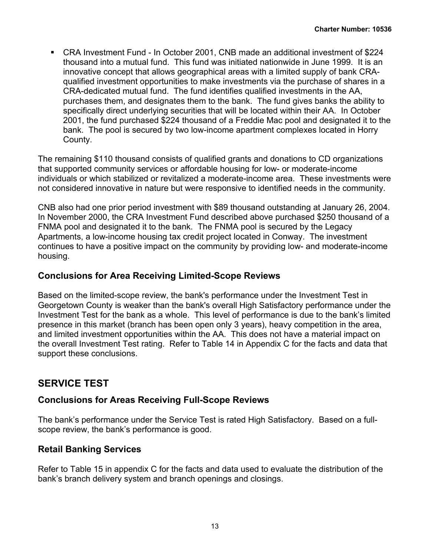<span id="page-14-0"></span> CRA Investment Fund - In October 2001, CNB made an additional investment of \$224 thousand into a mutual fund. This fund was initiated nationwide in June 1999. It is an innovative concept that allows geographical areas with a limited supply of bank CRAqualified investment opportunities to make investments via the purchase of shares in a CRA-dedicated mutual fund. The fund identifies qualified investments in the AA, purchases them, and designates them to the bank. The fund gives banks the ability to specifically direct underlying securities that will be located within their AA. In October 2001, the fund purchased \$224 thousand of a Freddie Mac pool and designated it to the bank. The pool is secured by two low-income apartment complexes located in Horry County.

The remaining \$110 thousand consists of qualified grants and donations to CD organizations that supported community services or affordable housing for low- or moderate-income individuals or which stabilized or revitalized a moderate-income area. These investments were not considered innovative in nature but were responsive to identified needs in the community.

CNB also had one prior period investment with \$89 thousand outstanding at January 26, 2004. In November 2000, the CRA Investment Fund described above purchased \$250 thousand of a FNMA pool and designated it to the bank. The FNMA pool is secured by the Legacy Apartments, a low-income housing tax credit project located in Conway. The investment continues to have a positive impact on the community by providing low- and moderate-income housing.

### **Conclusions for Area Receiving Limited-Scope Reviews**

Based on the limited-scope review, the bank's performance under the Investment Test in Georgetown County is weaker than the bank's overall High Satisfactory performance under the Investment Test for the bank as a whole. This level of performance is due to the bank's limited presence in this market (branch has been open only 3 years), heavy competition in the area, and limited investment opportunities within the AA. This does not have a material impact on the overall Investment Test rating. Refer to Table 14 in Appendix C for the facts and data that support these conclusions.

## **SERVICE TEST**

## **Conclusions for Areas Receiving Full-Scope Reviews**

The bank's performance under the Service Test is rated High Satisfactory. Based on a fullscope review, the bank's performance is good.

## **Retail Banking Services**

Refer to Table 15 in appendix C for the facts and data used to evaluate the distribution of the bank's branch delivery system and branch openings and closings.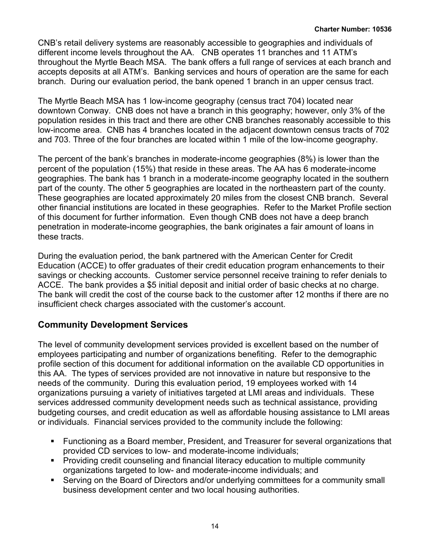CNB's retail delivery systems are reasonably accessible to geographies and individuals of different income levels throughout the AA. CNB operates 11 branches and 11 ATM's throughout the Myrtle Beach MSA. The bank offers a full range of services at each branch and accepts deposits at all ATM's. Banking services and hours of operation are the same for each branch. During our evaluation period, the bank opened 1 branch in an upper census tract.

The Myrtle Beach MSA has 1 low-income geography (census tract 704) located near downtown Conway. CNB does not have a branch in this geography; however, only 3% of the population resides in this tract and there are other CNB branches reasonably accessible to this low-income area. CNB has 4 branches located in the adjacent downtown census tracts of 702 and 703. Three of the four branches are located within 1 mile of the low-income geography.

The percent of the bank's branches in moderate-income geographies (8%) is lower than the percent of the population (15%) that reside in these areas. The AA has 6 moderate-income geographies. The bank has 1 branch in a moderate-income geography located in the southern part of the county. The other 5 geographies are located in the northeastern part of the county. These geographies are located approximately 20 miles from the closest CNB branch. Several other financial institutions are located in these geographies. Refer to the Market Profile section of this document for further information. Even though CNB does not have a deep branch penetration in moderate-income geographies, the bank originates a fair amount of loans in these tracts.

During the evaluation period, the bank partnered with the American Center for Credit Education (ACCE) to offer graduates of their credit education program enhancements to their savings or checking accounts. Customer service personnel receive training to refer denials to ACCE. The bank provides a \$5 initial deposit and initial order of basic checks at no charge. The bank will credit the cost of the course back to the customer after 12 months if there are no insufficient check charges associated with the customer's account.

## **Community Development Services**

The level of community development services provided is excellent based on the number of employees participating and number of organizations benefiting. Refer to the demographic profile section of this document for additional information on the available CD opportunities in this AA. The types of services provided are not innovative in nature but responsive to the needs of the community. During this evaluation period, 19 employees worked with 14 organizations pursuing a variety of initiatives targeted at LMI areas and individuals. These services addressed community development needs such as technical assistance, providing budgeting courses, and credit education as well as affordable housing assistance to LMI areas or individuals. Financial services provided to the community include the following:

- Functioning as a Board member, President, and Treasurer for several organizations that provided CD services to low- and moderate-income individuals;
- Providing credit counseling and financial literacy education to multiple community organizations targeted to low- and moderate-income individuals; and
- Serving on the Board of Directors and/or underlying committees for a community small business development center and two local housing authorities.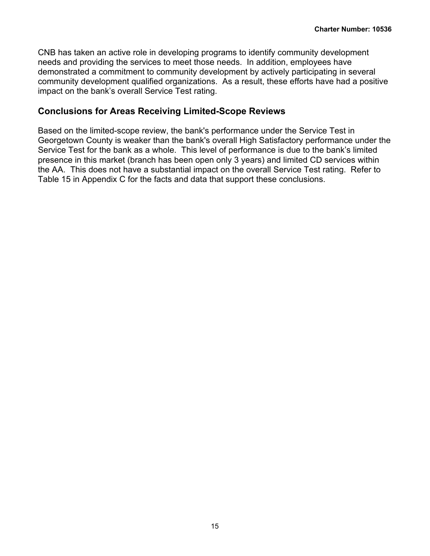CNB has taken an active role in developing programs to identify community development needs and providing the services to meet those needs. In addition, employees have demonstrated a commitment to community development by actively participating in several community development qualified organizations. As a result, these efforts have had a positive impact on the bank's overall Service Test rating.

#### **Conclusions for Areas Receiving Limited-Scope Reviews**

Based on the limited-scope review, the bank's performance under the Service Test in Georgetown County is weaker than the bank's overall High Satisfactory performance under the Service Test for the bank as a whole. This level of performance is due to the bank's limited presence in this market (branch has been open only 3 years) and limited CD services within the AA. This does not have a substantial impact on the overall Service Test rating. Refer to Table 15 in Appendix C for the facts and data that support these conclusions.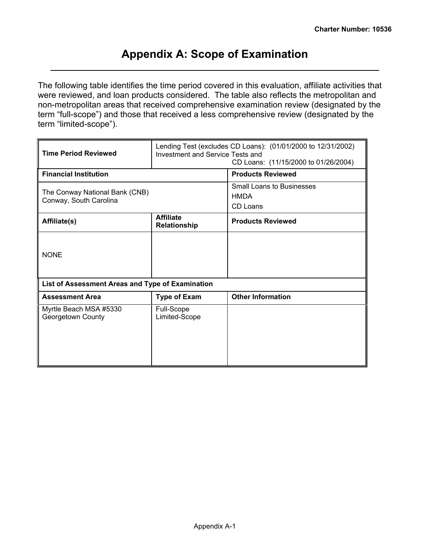# **Appendix A: Scope of Examination**

<span id="page-17-0"></span>The following table identifies the time period covered in this evaluation, affiliate activities that were reviewed, and loan products considered. The table also reflects the metropolitan and non-metropolitan areas that received comprehensive examination review (designated by the term "full-scope") and those that received a less comprehensive review (designated by the term "limited-scope").

| <b>Time Period Reviewed</b>                              | Investment and Service Tests and | Lending Test (excludes CD Loans): (01/01/2000 to 12/31/2002)<br>CD Loans: (11/15/2000 to 01/26/2004) |
|----------------------------------------------------------|----------------------------------|------------------------------------------------------------------------------------------------------|
| <b>Financial Institution</b>                             |                                  | <b>Products Reviewed</b>                                                                             |
| The Conway National Bank (CNB)<br>Conway, South Carolina |                                  | <b>Small Loans to Businesses</b><br><b>HMDA</b><br>CD Loans                                          |
| Affiliate(s)                                             | <b>Affiliate</b><br>Relationship | <b>Products Reviewed</b>                                                                             |
| <b>NONE</b>                                              |                                  |                                                                                                      |
| List of Assessment Areas and Type of Examination         |                                  |                                                                                                      |
| <b>Assessment Area</b>                                   | <b>Type of Exam</b>              | <b>Other Information</b>                                                                             |
| Myrtle Beach MSA #5330<br>Georgetown County              | Full-Scope<br>Limited-Scope      |                                                                                                      |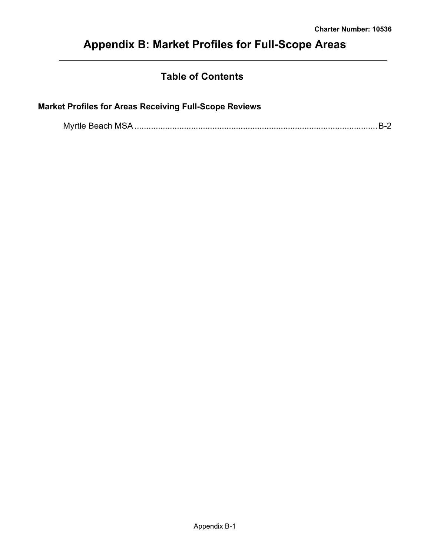# <span id="page-18-0"></span>**Appendix B: Market Profiles for Full-Scope Areas**

# **Table of Contents**

## **Market Profiles for Areas Receiving Full-Scope Reviews**

|--|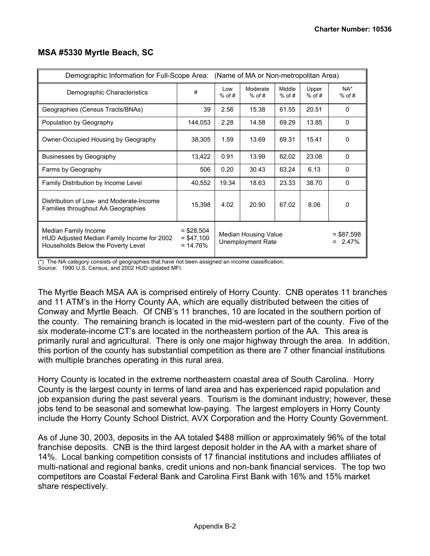| Demographic Information for Full-Scope Area: (Name of MA or Non-metropolitan Area)                       |                                           |                 |                                                  |                    |                   |                             |
|----------------------------------------------------------------------------------------------------------|-------------------------------------------|-----------------|--------------------------------------------------|--------------------|-------------------|-----------------------------|
| Demographic Characteristics                                                                              | #                                         | Low<br>$%$ of # | Moderate<br>$%$ of #                             | Middle<br>$%$ of # | Upper<br>$%$ of # | $NA^*$<br>$%$ of #          |
| Geographies (Census Tracts/BNAs)                                                                         | 39                                        | 2.56            | 15.38                                            | 61.55              | 20.51             | $\Omega$                    |
| Population by Geography                                                                                  | 144,053                                   | 2.28            | 14.58                                            | 69.29              | 13.85             | $\mathbf{0}$                |
| Owner-Occupied Housing by Geography                                                                      | 38,305                                    | 1.59            | 13.69                                            | 69.31              | 15.41             | $\Omega$                    |
| Businesses by Geography                                                                                  | 13,422                                    | 0.91            | 13.99                                            | 62.02              | 23.08             | $\Omega$                    |
| Farms by Geography                                                                                       | 506                                       | 0.20            | 30.43                                            | 63.24              | 6.13              | $\Omega$                    |
| Family Distribution by Income Level                                                                      | 40,552                                    | 19.34           | 18.63                                            | 23.33              | 38.70             | $\Omega$                    |
| Distribution of Low- and Moderate-Income<br>Families throughout AA Geographies                           | 15,398                                    | 4.02            | 20.90                                            | 67.02              | 8.06              | $\Omega$                    |
| Median Family Income<br>HUD Adjusted Median Family Income for 2002<br>Households Below the Poverty Level | $=$ \$28,504<br>$= $47.100$<br>$= 14.76%$ |                 | Median Housing Value<br><b>Unemployment Rate</b> |                    |                   | $= $87,598$<br>2.47%<br>$=$ |

#### <span id="page-19-0"></span>**MSA #5330 Myrtle Beach, SC**

(\*) The NA category consists of geographies that have not been assigned an income classification. Source: 1990 U.S. Census, and 2002 HUD updated MFI.

The Myrtle Beach MSA AA is comprised entirely of Horry County. CNB operates 11 branches and 11 ATM's in the Horry County AA, which are equally distributed between the cities of Conway and Myrtle Beach. Of CNB's 11 branches, 10 are located in the southern portion of the county. The remaining branch is located in the mid-western part of the county. Five of the six moderate-income CT's are located in the northeastern portion of the AA. This area is primarily rural and agricultural. There is only one major highway through the area. In addition, this portion of the county has substantial competition as there are 7 other financial institutions with multiple branches operating in this rural area.

Horry County is located in the extreme northeastern coastal area of South Carolina. Horry County is the largest county in terms of land area and has experienced rapid population and job expansion during the past several years. Tourism is the dominant industry; however, these jobs tend to be seasonal and somewhat low-paying. The largest employers in Horry County include the Horry County School District, AVX Corporation and the Horry County Government.

As of June 30, 2003, deposits in the AA totaled \$488 million or approximately 96% of the total franchise deposits. CNB is the third largest deposit holder in the AA with a market share of 14%. Local banking competition consists of 17 financial institutions and includes affiliates of multi-national and regional banks, credit unions and non-bank financial services. The top two competitors are Coastal Federal Bank and Carolina First Bank with 16% and 15% market share respectively.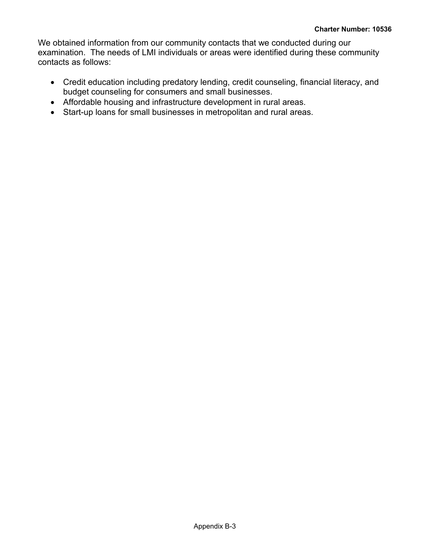We obtained information from our community contacts that we conducted during our examination. The needs of LMI individuals or areas were identified during these community contacts as follows:

- Credit education including predatory lending, credit counseling, financial literacy, and budget counseling for consumers and small businesses.
- Affordable housing and infrastructure development in rural areas.
- Start-up loans for small businesses in metropolitan and rural areas.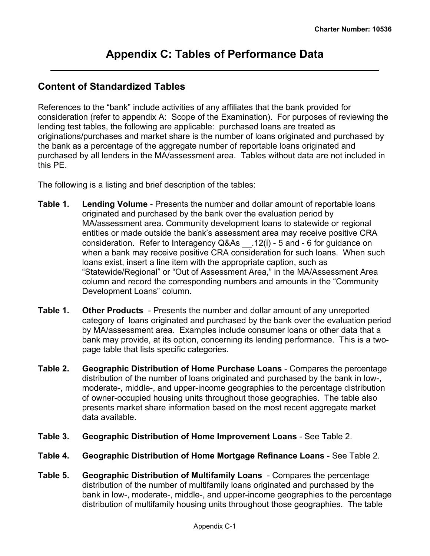## <span id="page-21-0"></span>**Content of Standardized Tables**

References to the "bank" include activities of any affiliates that the bank provided for consideration (refer to appendix A: Scope of the Examination). For purposes of reviewing the lending test tables, the following are applicable: purchased loans are treated as originations/purchases and market share is the number of loans originated and purchased by the bank as a percentage of the aggregate number of reportable loans originated and purchased by all lenders in the MA/assessment area. Tables without data are not included in this PE.

The following is a listing and brief description of the tables:

- **Table 1. Lending Volume** Presents the number and dollar amount of reportable loans originated and purchased by the bank over the evaluation period by MA/assessment area. Community development loans to statewide or regional entities or made outside the bank's assessment area may receive positive CRA consideration. Refer to Interagency Q&As \_\_.12(i) - 5 and - 6 for guidance on when a bank may receive positive CRA consideration for such loans. When such loans exist, insert a line item with the appropriate caption, such as "Statewide/Regional" or "Out of Assessment Area," in the MA/Assessment Area column and record the corresponding numbers and amounts in the "Community Development Loans" column.
- **Table 1. Other Products**  Presents the number and dollar amount of any unreported category of loans originated and purchased by the bank over the evaluation period by MA/assessment area. Examples include consumer loans or other data that a bank may provide, at its option, concerning its lending performance. This is a twopage table that lists specific categories.
- **Table 2. Geographic Distribution of Home Purchase Loans** Compares the percentage distribution of the number of loans originated and purchased by the bank in low-, moderate-, middle-, and upper-income geographies to the percentage distribution of owner-occupied housing units throughout those geographies. The table also presents market share information based on the most recent aggregate market data available.
- **Table 3. Geographic Distribution of Home Improvement Loans** See Table 2.
- **Table 4. Geographic Distribution of Home Mortgage Refinance Loans** See Table 2.
- **Table 5. Geographic Distribution of Multifamily Loans** Compares the percentage distribution of the number of multifamily loans originated and purchased by the bank in low-, moderate-, middle-, and upper-income geographies to the percentage distribution of multifamily housing units throughout those geographies. The table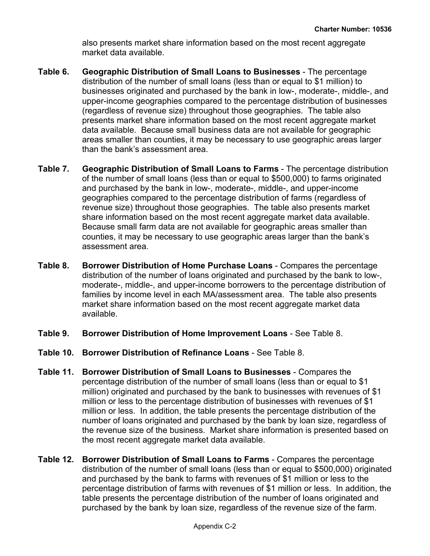also presents market share information based on the most recent aggregate market data available.

- **Table 6. Geographic Distribution of Small Loans to Businesses** The percentage distribution of the number of small loans (less than or equal to \$1 million) to businesses originated and purchased by the bank in low-, moderate-, middle-, and upper-income geographies compared to the percentage distribution of businesses (regardless of revenue size) throughout those geographies. The table also presents market share information based on the most recent aggregate market data available. Because small business data are not available for geographic areas smaller than counties, it may be necessary to use geographic areas larger than the bank's assessment area.
- **Table 7. Geographic Distribution of Small Loans to Farms** The percentage distribution of the number of small loans (less than or equal to \$500,000) to farms originated and purchased by the bank in low-, moderate-, middle-, and upper-income geographies compared to the percentage distribution of farms (regardless of revenue size) throughout those geographies. The table also presents market share information based on the most recent aggregate market data available. Because small farm data are not available for geographic areas smaller than counties, it may be necessary to use geographic areas larger than the bank's assessment area.
- **Table 8. Borrower Distribution of Home Purchase Loans** Compares the percentage distribution of the number of loans originated and purchased by the bank to low-, moderate-, middle-, and upper-income borrowers to the percentage distribution of families by income level in each MA/assessment area. The table also presents market share information based on the most recent aggregate market data available.
- **Table 9. Borrower Distribution of Home Improvement Loans** See Table 8.
- **Table 10. Borrower Distribution of Refinance Loans** See Table 8.
- **Table 11. Borrower Distribution of Small Loans to Businesses** Compares the percentage distribution of the number of small loans (less than or equal to \$1 million) originated and purchased by the bank to businesses with revenues of \$1 million or less to the percentage distribution of businesses with revenues of \$1 million or less. In addition, the table presents the percentage distribution of the number of loans originated and purchased by the bank by loan size, regardless of the revenue size of the business. Market share information is presented based on the most recent aggregate market data available.
- **Table 12. Borrower Distribution of Small Loans to Farms** Compares the percentage distribution of the number of small loans (less than or equal to \$500,000) originated and purchased by the bank to farms with revenues of \$1 million or less to the percentage distribution of farms with revenues of \$1 million or less. In addition, the table presents the percentage distribution of the number of loans originated and purchased by the bank by loan size, regardless of the revenue size of the farm.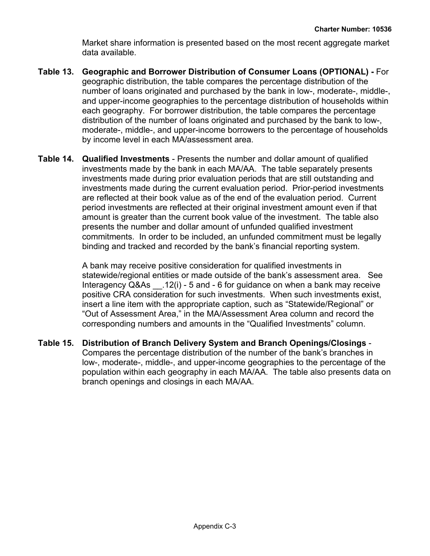Market share information is presented based on the most recent aggregate market data available.

- **Table 13. Geographic and Borrower Distribution of Consumer Loans (OPTIONAL)** For geographic distribution, the table compares the percentage distribution of the number of loans originated and purchased by the bank in low-, moderate-, middle-, and upper-income geographies to the percentage distribution of households within each geography. For borrower distribution, the table compares the percentage distribution of the number of loans originated and purchased by the bank to low-, moderate-, middle-, and upper-income borrowers to the percentage of households by income level in each MA/assessment area.
- **Table 14. Qualified Investments** Presents the number and dollar amount of qualified investments made by the bank in each MA/AA. The table separately presents investments made during prior evaluation periods that are still outstanding and investments made during the current evaluation period. Prior-period investments are reflected at their book value as of the end of the evaluation period. Current period investments are reflected at their original investment amount even if that amount is greater than the current book value of the investment. The table also presents the number and dollar amount of unfunded qualified investment commitments. In order to be included, an unfunded commitment must be legally binding and tracked and recorded by the bank's financial reporting system.

A bank may receive positive consideration for qualified investments in statewide/regional entities or made outside of the bank's assessment area. See Interagency Q&As \_\_.12(i) - 5 and - 6 for guidance on when a bank may receive positive CRA consideration for such investments. When such investments exist, insert a line item with the appropriate caption, such as "Statewide/Regional" or "Out of Assessment Area," in the MA/Assessment Area column and record the corresponding numbers and amounts in the "Qualified Investments" column.

**Table 15. Distribution of Branch Delivery System and Branch Openings/Closings** - Compares the percentage distribution of the number of the bank's branches in low-, moderate-, middle-, and upper-income geographies to the percentage of the population within each geography in each MA/AA. The table also presents data on branch openings and closings in each MA/AA.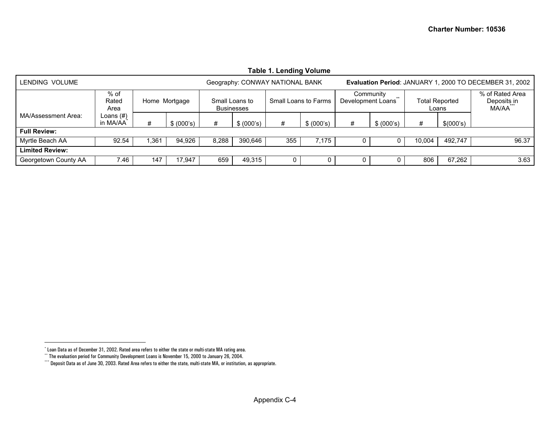<span id="page-24-2"></span><span id="page-24-1"></span><span id="page-24-0"></span>

| <b>Table 1. Lending Volume</b> |                          |      |               |       |                                                             |                                 |            |                                                         |                    |        |                                |                                         |  |
|--------------------------------|--------------------------|------|---------------|-------|-------------------------------------------------------------|---------------------------------|------------|---------------------------------------------------------|--------------------|--------|--------------------------------|-----------------------------------------|--|
| LENDING VOLUME                 |                          |      |               |       |                                                             | Geography: CONWAY NATIONAL BANK |            | Evaluation Period: JANUARY 1, 2000 TO DECEMBER 31, 2002 |                    |        |                                |                                         |  |
|                                | $%$ of<br>Rated<br>Area  |      | Home Mortgage |       | Small Loans to<br>Small Loans to Farms<br><b>Businesses</b> |                                 |            | Development Loans                                       | Community<br>$***$ |        | <b>Total Reported</b><br>Loans | % of Rated Area<br>Deposits in<br>MA/AA |  |
| MA/Assessment Area:            | Loans $(\#)$<br>in MA/AA | #    | \$ (000's)    | #     | \$ (000's)                                                  | #                               | \$ (000's) | #                                                       | \$ (000's)         | #      | \$(000's)                      |                                         |  |
| <b>Full Review:</b>            |                          |      |               |       |                                                             |                                 |            |                                                         |                    |        |                                |                                         |  |
| Myrtle Beach AA                | 92.54                    | .361 | 94,926        | 8,288 | 390.646                                                     | 355                             | 7.175      | 0                                                       |                    | 10.004 | 492.747                        | 96.37                                   |  |
| <b>Limited Review:</b>         |                          |      |               |       |                                                             |                                 |            |                                                         |                    |        |                                |                                         |  |
| Georgetown County AA           | 7.46                     | 147  | 17,947        | 659   | 49,315                                                      | 0                               | 0          | 0                                                       |                    | 806    | 67,262                         | 3.63                                    |  |

<sup>\*</sup> Loan Data as of December 31, 2002. Rated area refers to either the state or multi-state MA rating area.

<sup>\*\*</sup> The evaluation period for Community Development Loans is November 15, 2000 to January 26, 2004.

<sup>\*\*\*</sup> Deposit Data as of June 30, 2003. Rated Area refers to either the state, multi-state MA, or institution, as appropriate.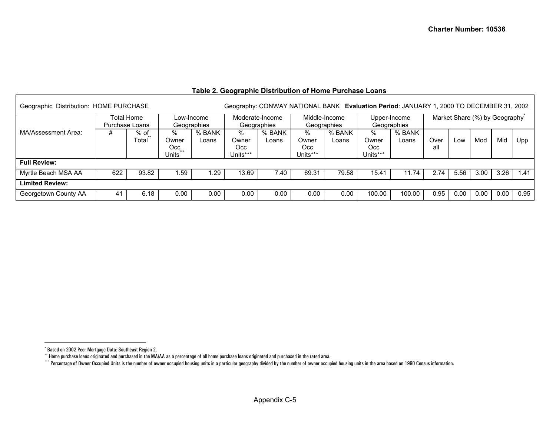#### **Table 2. Geographic Distribution of Home Purchase Loans**

<span id="page-25-2"></span><span id="page-25-1"></span><span id="page-25-0"></span>

| Geographic Distribution: HOME PURCHASE |     |               |                                       |                 |                                |                 |                               | Geography: CONWAY NATIONAL BANK Evaluation Period: JANUARY 1, 2000 TO DECEMBER 31, 2002 |                                  |                 |                               |      |      |      |      |
|----------------------------------------|-----|---------------|---------------------------------------|-----------------|--------------------------------|-----------------|-------------------------------|-----------------------------------------------------------------------------------------|----------------------------------|-----------------|-------------------------------|------|------|------|------|
| Total Home<br>Purchase Loans           |     |               | Low-Income                            | Geographies     | Moderate-Income<br>Geographies |                 | Middle-Income<br>Geographies  |                                                                                         | Upper-Income<br>Geographies      |                 | Market Share (%) by Geography |      |      |      |      |
| MA/Assessment Area:                    | #   | % of<br>Total | $\%$<br>Owner<br>Occ.<br><b>Units</b> | % BANK<br>Loans | %<br>Owner<br>Occ<br>Units***  | % BANK<br>Loans | %<br>Owner<br>Occ<br>Units*** | % BANK<br>Loans                                                                         | $\%$<br>Owner<br>Occ<br>Units*** | % BANK<br>Loans | Over<br>all                   | LOW  | Mod  | Mid  | Upp  |
| <b>Full Review:</b>                    |     |               |                                       |                 |                                |                 |                               |                                                                                         |                                  |                 |                               |      |      |      |      |
| Myrtle Beach MSA AA                    | 622 | 93.82         | .59                                   | .29             | 13.69                          | 40.'            | 69.31                         | 79.58                                                                                   | 15.41                            | 11.74           | 2.74                          | 5.56 | 3.00 | 3.26 | 1.41 |
| <b>Limited Review:</b>                 |     |               |                                       |                 |                                |                 |                               |                                                                                         |                                  |                 |                               |      |      |      |      |
| Georgetown County AA                   | 41  | 6.18          | 0.00                                  | 0.00            | 0.00                           | 0.00            | 0.00                          | 0.00                                                                                    | 100.00                           | 100.00          | 0.95                          | 0.00 | 0.00 | 0.00 | 0.95 |

<sup>\*</sup> Based on 2002 Peer Mortgage Data: Southeast Region 2.

 $\cdot^*$  Home purchase loans originated and purchased in the MA/AA as a percentage of all home purchase loans originated and purchased in the rated area.

<sup>\*\*\*\*</sup> Percentage of Owner Occupied Units is the number of owner occupied housing units in a particular geography divided by the number of owner occupied housing units in the area based on 1990 Census information.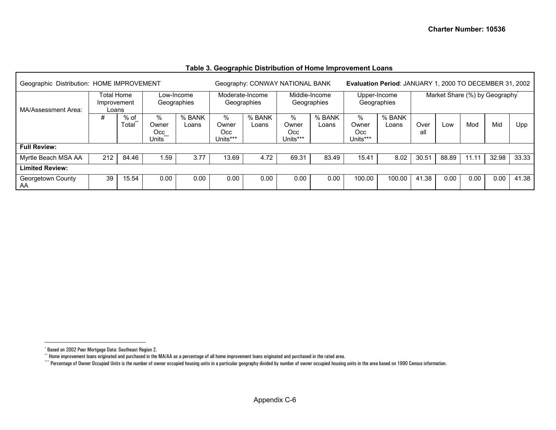<span id="page-26-2"></span><span id="page-26-1"></span><span id="page-26-0"></span>

| Geographic Distribution: HOME IMPROVEMENT |                                    |               |                                        |                 |                                   | Geography: CONWAY NATIONAL BANK |                                | Evaluation Period: JANUARY 1, 2000 TO DECEMBER 31, 2002 |                               |                 |                               |       |       |       |       |
|-------------------------------------------|------------------------------------|---------------|----------------------------------------|-----------------|-----------------------------------|---------------------------------|--------------------------------|---------------------------------------------------------|-------------------------------|-----------------|-------------------------------|-------|-------|-------|-------|
| MA/Assessment Area:                       | Total Home<br>Improvement<br>Loans |               | Low-Income<br>Geographies              |                 | Moderate-Income<br>Geographies    |                                 | Middle-Income<br>Geographies   |                                                         | Upper-Income<br>Geographies   |                 | Market Share (%) by Geography |       |       |       |       |
|                                           | #                                  | % of<br>Total | $\%$<br>Owner<br>Occ<br>$***$<br>Units | % BANK<br>Loans | $\%$<br>Owner<br>Occ.<br>Units*** | % BANK<br>Loans                 | %<br>Owner<br>Occ.<br>Units*** | % BANK<br>Loans                                         | ℅<br>Owner<br>Occ<br>Units*** | % BANK<br>Loans | Over<br>all                   | LOW   | Mod   | Mid   | Upp   |
| <b>Full Review:</b>                       |                                    |               |                                        |                 |                                   |                                 |                                |                                                         |                               |                 |                               |       |       |       |       |
| Myrtle Beach MSA AA                       | 212                                | 84.46         | .59                                    | 3.77            | 13.69                             | 4.72                            | 69.31                          | 83.49                                                   | 15.41                         | 8.02            | 30.51                         | 88.89 | 11.11 | 32.98 | 33.33 |
| <b>Limited Review:</b>                    |                                    |               |                                        |                 |                                   |                                 |                                |                                                         |                               |                 |                               |       |       |       |       |
| Georgetown County<br>AA                   | 39                                 | 15.54         | 0.00                                   | 0.00            | 0.00                              | 0.00                            | 0.00                           | 0.00                                                    | 100.00                        | 100.00          | 41.38                         | 0.00  | 0.00  | 0.00  | 41.38 |

#### **Table 3. Geographic Distribution of Home Improvement Loans**

<sup>\*</sup> Based on 2002 Peer Mortgage Data: Southeast Region 2.

<sup>\*\*</sup> Home improvement loans originated and purchased in the MA/AA as a percentage of all home improvement loans originated and purchased in the rated area.

<sup>\*\*\*\*</sup> Percentage of Owner Occupied Units is the number of owner occupied housing units in a particular geography divided by number of owner occupied housing units in the area based on 1990 Census information.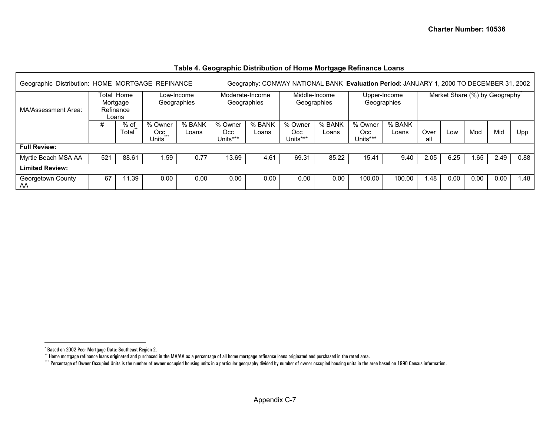<span id="page-27-2"></span><span id="page-27-1"></span><span id="page-27-0"></span>

| Geographic Distribution: HOME MORTGAGE REFINANCE |                                                 |               |                                     | Geography: CONWAY NATIONAL BANK Evaluation Period: JANUARY 1, 2000 TO DECEMBER 31, 2002 |                                                |                           |                            |                                |                              |                 |                             |      |                               |      |      |  |  |
|--------------------------------------------------|-------------------------------------------------|---------------|-------------------------------------|-----------------------------------------------------------------------------------------|------------------------------------------------|---------------------------|----------------------------|--------------------------------|------------------------------|-----------------|-----------------------------|------|-------------------------------|------|------|--|--|
| MA/Assessment Area:                              | Total<br>Home<br>Mortgage<br>Refinance<br>Loans |               |                                     |                                                                                         |                                                | Low-Income<br>Geographies |                            | Moderate-Income<br>Geographies | Middle-Income<br>Geographies |                 | Upper-Income<br>Geographies |      | Market Share (%) by Geography |      |      |  |  |
|                                                  | #                                               | % of<br>Total | % Owner<br>Occ.<br>$+ + +$<br>Units | % BANK<br>Loans                                                                         | % Owner<br>% BANK<br>Occ.<br>Loans<br>Units*** |                           | % Owner<br>Occ<br>Units*** | % BANK<br>Loans                | % Owner<br>Occ.<br>Units***  | % BANK<br>Loans | Over<br>all                 | Low  | Mod                           | Mid  | Upp  |  |  |
| <b>Full Review:</b>                              |                                                 |               |                                     |                                                                                         |                                                |                           |                            |                                |                              |                 |                             |      |                               |      |      |  |  |
| Myrtle Beach MSA AA                              | 521                                             | 88.61         | l.59                                | 0.77                                                                                    | 13.69                                          | 4.61                      | 69.31                      | 85.22                          | 15.41                        | 9.40            | 2.05                        | 6.25 | 1.65                          | 2.49 | 0.88 |  |  |
| <b>Limited Review:</b>                           |                                                 |               |                                     |                                                                                         |                                                |                           |                            |                                |                              |                 |                             |      |                               |      |      |  |  |
| Georgetown County<br>AA                          | 67                                              | 11.39         | 0.00                                | 0.00                                                                                    | 0.00                                           | 0.00                      | 0.00                       | 0.00                           | 100.00                       | 100.00          | l.48                        | 0.00 | $0.00\,$                      | 0.00 | 1.48 |  |  |

#### **Table 4. Geographic Distribution of Home Mortgage Refinance Loans**

<sup>\*</sup> Based on 2002 Peer Mortgage Data: Southeast Region 2.

 $^{\circ}$  Home mortgage refinance loans originated and purchased in the MA/AA as a percentage of all home mortgage refinance loans originated and purchased in the rated area.

<sup>\*\*\*\*</sup> Percentage of Owner Occupied Units is the number of owner occupied housing units in a particular geography divided by number of owner occupied housing units in the area based on 1990 Census information.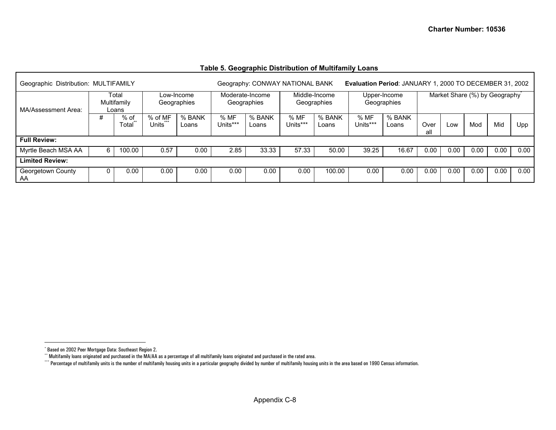#### **Table 5. Geographic Distribution of Multifamily Loans**

<span id="page-28-2"></span><span id="page-28-1"></span><span id="page-28-0"></span>

| Geographic Distribution: MULTIFAMILY |                               |               |                           |                 |                                | Geography: CONWAY NATIONAL BANK<br>Evaluation Period: JANUARY 1, 2000 TO DECEMBER 31, 2002 |                              |                 |                             |                 |                               |      |      |      |      |
|--------------------------------------|-------------------------------|---------------|---------------------------|-----------------|--------------------------------|--------------------------------------------------------------------------------------------|------------------------------|-----------------|-----------------------------|-----------------|-------------------------------|------|------|------|------|
| MA/Assessment Area:                  | Total<br>Multifamily<br>Loans |               | Low-Income<br>Geographies |                 | Moderate-Income<br>Geographies |                                                                                            | Middle-Income<br>Geographies |                 | Upper-Income<br>Geographies |                 | Market Share (%) by Geography |      |      |      |      |
|                                      | #                             | % of<br>Total | $%$ of MF<br>Units        | % BANK<br>Loans | % MF<br>Units***               | % BANK<br>Loans                                                                            | % MF<br>Units***             | % BANK<br>Loans | %MF<br>Units***             | % BANK<br>Loans | Over<br>all                   | Low  | Mod  | Mid  | Upp  |
| <b>Full Review:</b>                  |                               |               |                           |                 |                                |                                                                                            |                              |                 |                             |                 |                               |      |      |      |      |
| Myrtle Beach MSA AA                  | 6                             | 100.00        | 0.57                      | 0.00            | 2.85                           | 33.33                                                                                      | 57.33                        | 50.00           | 39.25                       | 16.67           | 0.00                          | 0.00 | 0.00 | 0.00 | 0.00 |
| Limited Review:                      |                               |               |                           |                 |                                |                                                                                            |                              |                 |                             |                 |                               |      |      |      |      |
| Georgetown County<br>AA              |                               | 0.00          | 0.00                      | 0.00            | 0.00                           | 0.00                                                                                       | 0.00                         | 100.00          | 0.00                        | 0.00            | 0.00                          | 0.00 | 0.00 | 0.00 | 0.00 |

<sup>\*</sup> Based on 2002 Peer Mortgage Data: Southeast Region 2.

<sup>\*\*</sup> Multifamily loans originated and purchased in the MA/AA as a percentage of all multifamily loans originated and purchased in the rated area.

<sup>\*\*\*\*</sup> Percentage of multifamily units is the number of multifamily housing units in a particular geography divided by number of multifamily housing units in the area based on 1990 Census information.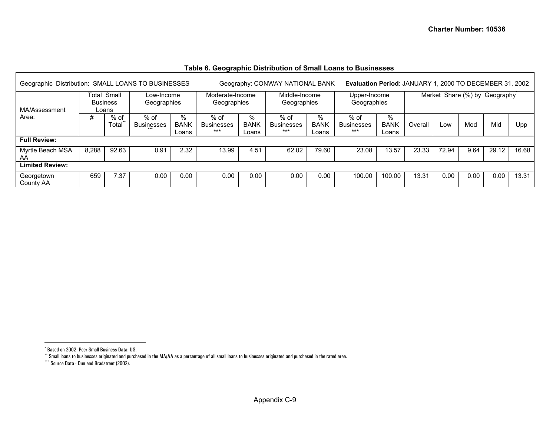<span id="page-29-2"></span><span id="page-29-1"></span><span id="page-29-0"></span>

| Geographic Distribution: SMALL LOANS TO BUSINESSES |                                                                      |               |                           |                           |                                    |                           | Geography: CONWAY NATIONAL BANK    |                           | Evaluation Period: JANUARY 1, 2000 TO DECEMBER 31, 2002 |                              |                               |       |      |       |       |
|----------------------------------------------------|----------------------------------------------------------------------|---------------|---------------------------|---------------------------|------------------------------------|---------------------------|------------------------------------|---------------------------|---------------------------------------------------------|------------------------------|-------------------------------|-------|------|-------|-------|
| MA/Assessment                                      | Total Small<br>Low-Income<br><b>Business</b><br>Geographies<br>Loans |               |                           |                           | Moderate-Income<br>Geographies     |                           | Middle-Income<br>Geographies       |                           | Upper-Income<br>Geographies                             |                              | Market Share (%) by Geography |       |      |       |       |
| Area:                                              | #                                                                    | % of<br>Total | % of<br><b>Businesses</b> | %<br><b>BANK</b><br>Loans | $%$ of<br><b>Businesses</b><br>*** | %<br><b>BANK</b><br>Loans | $%$ of<br><b>Businesses</b><br>*** | %<br><b>BANK</b><br>Loans | $%$ of<br>Businesses<br>***                             | $\%$<br><b>BANK</b><br>Loans | Overall                       | Low   | Mod  | Mid   | Upp   |
| <b>Full Review:</b>                                |                                                                      |               |                           |                           |                                    |                           |                                    |                           |                                                         |                              |                               |       |      |       |       |
| Myrtle Beach MSA<br>AA                             | 8,288                                                                | 92.63         | 0.91                      | 2.32                      | 13.99                              | 4.51                      | 62.02                              | 79.60                     | 23.08                                                   | 13.57                        | 23.33                         | 72.94 | 9.64 | 29.12 | 16.68 |
| <b>Limited Review:</b>                             |                                                                      |               |                           |                           |                                    |                           |                                    |                           |                                                         |                              |                               |       |      |       |       |
| Georgetown<br>County AA                            | 659                                                                  | 7.37          | 0.00                      | 0.00                      | 0.00                               | 0.00                      | 0.00                               | 0.00                      | 100.00                                                  | 100.00                       | 13.31                         | 0.00  | 0.00 | 0.00  | 13.31 |

#### **Table 6. Geographic Distribution of Small Loans to Businesses**

<sup>\*</sup> Based on 2002 Peer Small Business Data: US.

<sup>\*\*</sup> Small loans to businesses originated and purchased in the MA/AA as a percentage of all small loans to businesses originated and purchased in the rated area.

<sup>\*\*\*</sup> Source Data - Dun and Bradstreet (2002).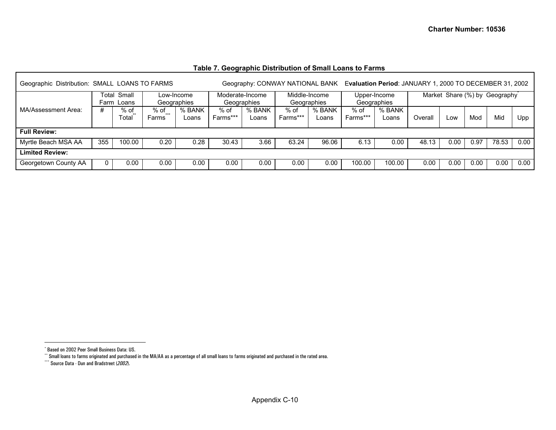| Geographic Distribution: SMALL LOANS TO FARMS |                                 |               |                           |                 | Geography: CONWAY NATIONAL BANK |                 |                    |                              |                  |                             |         | Evaluation Period: JANUARY 1, 2000 TO DECEMBER 31, 2002 |      |       |      |  |
|-----------------------------------------------|---------------------------------|---------------|---------------------------|-----------------|---------------------------------|-----------------|--------------------|------------------------------|------------------|-----------------------------|---------|---------------------------------------------------------|------|-------|------|--|
|                                               | Small<br>Гоtal<br>Loans<br>Farm |               | _ow-Income<br>Geographies |                 | Moderate-Income<br>Geographies  |                 |                    | Middle-Income<br>Geographies |                  | Upper-Income<br>Geographies |         | Market Share (%) by Geography                           |      |       |      |  |
| MA/Assessment Area:                           | #                               | % of<br>Total | % of<br>$+ + +$<br>Farms  | % BANK<br>Loans | $%$ of<br>Farms***              | % BANK<br>Loans | $%$ of<br>Farms*** | % BANK<br>Loans              | % of<br>Farms*** | % BANK<br>Loans             | Overall | Low                                                     | Mod  | Mid   | Upp  |  |
| <b>Full Review:</b>                           |                                 |               |                           |                 |                                 |                 |                    |                              |                  |                             |         |                                                         |      |       |      |  |
| Myrtle Beach MSA AA                           | 355                             | 100.00        | 0.20                      | 0.28            | 30.43                           | 3.66            | 63.24              | 96.06                        | 6.13             | 0.00                        | 48.13   | 0.00                                                    | 0.97 | 78.53 | 0.00 |  |
| <b>Limited Review:</b>                        |                                 |               |                           |                 |                                 |                 |                    |                              |                  |                             |         |                                                         |      |       |      |  |
| Georgetown County AA                          |                                 | 0.00          | 0.00                      | 0.00            | 0.00                            | 0.00            | 0.00               | 0.00                         | 100.00           | 100.00                      | 0.00    | 0.00                                                    | 0.00 | 0.00  | 0.00 |  |

<span id="page-30-2"></span><span id="page-30-1"></span><span id="page-30-0"></span>Г

<sup>\*</sup> Based on 2002 Peer Small Business Data: US.

<sup>\*\*</sup> Small loans to farms originated and purchased in the MA/AA as a percentage of all small loans to farms originated and purchased in the rated area.

<sup>\*\*\*</sup> Source Data - Dun and Bradstreet (*2002*).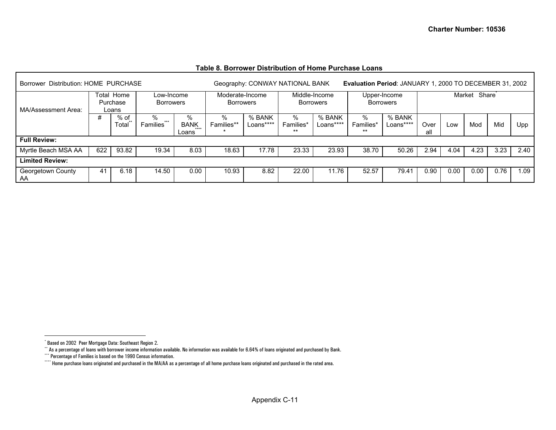<span id="page-31-3"></span><span id="page-31-2"></span><span id="page-31-1"></span><span id="page-31-0"></span>

| Borrower Distribution: HOME PURCHASE |     |                                 |                                |                                                                          | Evaluation Period: JANUARY 1, 2000 TO DECEMBER 31, 2002<br>Geography: CONWAY NATIONAL BANK |                     |                         |                     |                                  |                     |             |              |      |      |      |  |
|--------------------------------------|-----|---------------------------------|--------------------------------|--------------------------------------------------------------------------|--------------------------------------------------------------------------------------------|---------------------|-------------------------|---------------------|----------------------------------|---------------------|-------------|--------------|------|------|------|--|
| MA/Assessment Area:                  |     | Total Home<br>Purchase<br>Loans | Low-Income<br><b>Borrowers</b> | Middle-Income<br>Moderate-Income<br><b>Borrowers</b><br><b>Borrowers</b> |                                                                                            |                     |                         |                     | Upper-Income<br><b>Borrowers</b> |                     |             | Market Share |      |      |      |  |
|                                      | #   | % of<br>Total                   | ℅<br>$***$<br><b>Families</b>  | %<br><b>BANK</b><br>$***$<br>Loans                                       | ℅<br>Families**                                                                            | % BANK<br>Loans**** | %<br>Families*<br>$***$ | % BANK<br>Loans**** | %<br>Families*<br>$***$          | % BANK<br>Loans**** | Over<br>all | Low          | Mod  | Mid  | Upp  |  |
| <b>Full Review:</b>                  |     |                                 |                                |                                                                          |                                                                                            |                     |                         |                     |                                  |                     |             |              |      |      |      |  |
| Myrtle Beach MSA AA                  | 622 | 93.82                           | 19.34                          | 8.03                                                                     | 18.63                                                                                      | 17.78               | 23.33                   | 23.93               | 38.70                            | 50.26               | 2.94        | 4.04         | 4.23 | 3.23 | 2.40 |  |
| <b>Limited Review:</b>               |     |                                 |                                |                                                                          |                                                                                            |                     |                         |                     |                                  |                     |             |              |      |      |      |  |
| Georgetown County<br>AA              | 41  | 6.18                            | 14.50                          | 0.00                                                                     | 10.93                                                                                      | 8.82                | 22.00                   | 11.76               | 52.57                            | 79.41               | 0.90        | 0.00         | 0.00 | 0.76 | 0.09 |  |

<sup>\*</sup> Based on 2002 Peer Mortgage Data: Southeast Region 2.

<sup>\*\*</sup> As a percentage of loans with borrower income information available. No information was available for 6.64% of loans originated and purchased by Bank.

<sup>\*\*\*</sup> Percentage of Families is based on the 1990 Census information.

<sup>\*\*\*\*</sup> Home purchase loans originated and purchased in the MA/AA as a percentage of all home purchase loans originated and purchased in the rated area.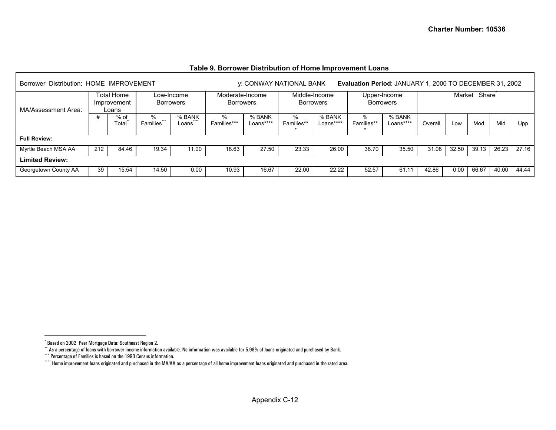<span id="page-32-3"></span><span id="page-32-2"></span><span id="page-32-1"></span><span id="page-32-0"></span>

| Borrower Distribution: HOME IMPROVEMENT |                                                                      |                 |                      |                             | Evaluation Period: JANUARY 1, 2000 TO DECEMBER 31, 2002<br>y: CONWAY NATIONAL BANK |                     |                         |                                   |                           |                     |         |       |              |       |       |
|-----------------------------------------|----------------------------------------------------------------------|-----------------|----------------------|-----------------------------|------------------------------------------------------------------------------------|---------------------|-------------------------|-----------------------------------|---------------------------|---------------------|---------|-------|--------------|-------|-------|
| MA/Assessment Area:                     | Total Home<br>Low-Income<br><b>Borrowers</b><br>Improvement<br>Loans |                 |                      |                             | Moderate-Income<br><b>Borrowers</b>                                                |                     |                         | Middle-Income<br><b>Borrowers</b> | <b>Borrowers</b>          | Upper-Income        |         |       | Market Share |       |       |
|                                         |                                                                      | $%$ of<br>Гоtal | ℅<br>***<br>Families | % BANK<br>$-0.000$<br>Loans | %<br>Families***                                                                   | % BANK<br>Loans**** | %<br><b>Families*</b> * | % BANK<br>Loans****               | $\%$<br><b>Families**</b> | % BANK<br>Loans**** | Overall | Low   | Mod          | Mid   | Upp   |
| <b>Full Review:</b>                     |                                                                      |                 |                      |                             |                                                                                    |                     |                         |                                   |                           |                     |         |       |              |       |       |
| Myrtle Beach MSA AA                     | 212                                                                  | 84.46           | 19.34                | 11.00                       | 18.63                                                                              | 27.50               | 23.33                   | 26.00                             | 38.70                     | 35.50               | 31.08   | 32.50 | 39.13        | 26.23 | 27.16 |
| <b>Limited Review:</b>                  |                                                                      |                 |                      |                             |                                                                                    |                     |                         |                                   |                           |                     |         |       |              |       |       |
| Georgetown County AA                    | 39                                                                   | 15.54           | 14.50                | 0.00                        | 10.93                                                                              | 16.67               | 22.00                   | 22.22                             | 52.57                     | 61.11               | 42.86   | 0.00  | 66.67        | 40.00 | 44.44 |

#### **Table 9. Borrower Distribution of Home Improvement Loans**

<sup>\*</sup> Based on 2002 Peer Mortgage Data: Southeast Region 2.

<sup>\*\*</sup> As a percentage of loans with borrower income information available. No information was available for 5.98% of loans originated and purchased by Bank.

<sup>\*\*\*</sup> Percentage of Families is based on the 1990 Census information.

<sup>\*\*\*\*</sup> Home improvement loans originated and purchased in the MA/AA as a percentage of all home improvement loans originated and purchased in the rated area.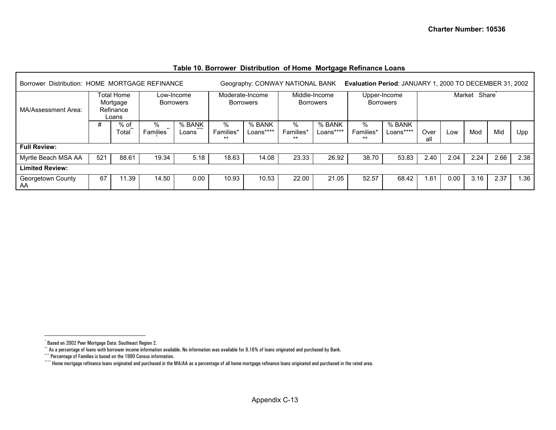<span id="page-33-3"></span><span id="page-33-2"></span><span id="page-33-1"></span><span id="page-33-0"></span>

| Borrower Distribution: HOME MORTGAGE REFINANCE |                                              | Geography: CONWAY NATIONAL BANK<br>Evaluation Period: JANUARY 1, 2000 TO DECEMBER 31, 2002 |                        |                                |                                                |       |                            |                     |                         |                                  |             |      |                 |      |      |
|------------------------------------------------|----------------------------------------------|--------------------------------------------------------------------------------------------|------------------------|--------------------------------|------------------------------------------------|-------|----------------------------|---------------------|-------------------------|----------------------------------|-------------|------|-----------------|------|------|
| MA/Assessment Area:                            | Total Home<br>Mortgage<br>Refinance<br>Loans |                                                                                            |                        | Low-Income<br><b>Borrowers</b> | Moderate-Income<br>Borrowers                   |       | Middle-Income<br>Borrowers |                     |                         | Upper-Income<br><b>Borrowers</b> |             |      | Share<br>Market |      |      |
|                                                | #                                            | % of<br>Total                                                                              | ℅<br>$***$<br>Families | % BANK<br>$+ + + +$<br>Loans   | %<br>% BANK<br>Families*<br>Loans****<br>$***$ |       | %<br>Families*<br>$***$    | % BANK<br>Loans**** | %<br>Families*<br>$***$ | % BANK<br>Loans****              | Over<br>all | Low  | Mod             | Mid  | Upp  |
| <b>Full Review:</b>                            |                                              |                                                                                            |                        |                                |                                                |       |                            |                     |                         |                                  |             |      |                 |      |      |
| Myrtle Beach MSA AA                            | 521                                          | 88.61                                                                                      | 19.34                  | 5.18                           | 18.63                                          | 14.08 | 23.33                      | 26.92               | 38.70                   | 53.83                            | 2.40        | 2.04 | 2.24            | 2.66 | 2.38 |
| <b>Limited Review:</b>                         |                                              |                                                                                            |                        |                                |                                                |       |                            |                     |                         |                                  |             |      |                 |      |      |
| Georgetown County<br>AA                        | 67                                           | 11.39                                                                                      | 14.50                  | 0.00                           | 10.93                                          | 10.53 | 22.00                      | 21.05               | 52.57                   | 68.42                            | .61،        | 0.00 | 3.16            | 2.37 | 1.36 |

#### **Table 10. Borrower Distribution of Home Mortgage Refinance Loans**

<sup>\*</sup> Based on 2002 Peer Mortgage Data: Southeast Region 2.

 $^{\star}$  As a percentage of loans with borrower income information available. No information was available for 8.16% of loans originated and purchased by Bank.

<sup>\*\*\*</sup> Percentage of Families is based on the 1990 Census information.

<sup>\*\*\*\*</sup> Home mortgage refinance loans originated and purchased in the MA/AA as a percentage of all home mortgage refinance loans originated and purchased in the rated area.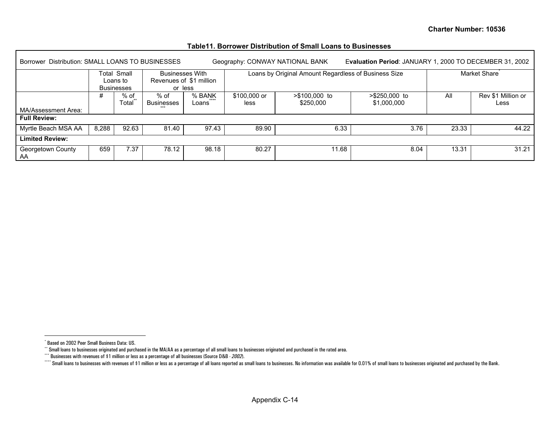<span id="page-34-3"></span><span id="page-34-2"></span><span id="page-34-1"></span><span id="page-34-0"></span>

| Borrower Distribution: SMALL LOANS TO BUSINESSES |       |                                              |                                   |                         | Evaluation Period: JANUARY 1, 2000 TO DECEMBER 31, 2002<br>Geography: CONWAY NATIONAL BANK |                                                      |                                |       |                            |  |  |  |
|--------------------------------------------------|-------|----------------------------------------------|-----------------------------------|-------------------------|--------------------------------------------------------------------------------------------|------------------------------------------------------|--------------------------------|-------|----------------------------|--|--|--|
|                                                  |       | Total Small<br>Loans to<br><b>Businesses</b> | <b>Businesses With</b><br>or less | Revenues of \$1 million |                                                                                            | Loans by Original Amount Regardless of Business Size | Market Share                   |       |                            |  |  |  |
|                                                  | #     | % of<br>Total                                | % of<br><b>Businesses</b>         | % BANK<br>Loans         | \$100,000 or<br>less                                                                       | $> $100,000$ to<br>\$250,000                         | $> $250,000$ to<br>\$1,000,000 | All   | Rev \$1 Million or<br>Less |  |  |  |
| MA/Assessment Area:<br><b>Full Review:</b>       |       |                                              |                                   |                         |                                                                                            |                                                      |                                |       |                            |  |  |  |
| Myrtle Beach MSA AA                              | 8,288 | 92.63                                        | 81.40                             | 97.43                   | 89.90                                                                                      | 6.33                                                 | 3.76                           | 23.33 | 44.22                      |  |  |  |
| <b>Limited Review:</b>                           |       |                                              |                                   |                         |                                                                                            |                                                      |                                |       |                            |  |  |  |
| Georgetown County<br>AA                          | 659   | 7.37                                         | 78.12                             | 98.18                   | 80.27                                                                                      | 11.68                                                | 8.04                           | 13.31 | 31.21                      |  |  |  |

#### **Table11. Borrower Distribution of Small Loans to Businesses**

<sup>\*</sup> Based on 2002 Peer Small Business Data: US.

<sup>\*\*</sup> Small loans to businesses originated and purchased in the MA/AA as a percentage of all small loans to businesses originated and purchased in the rated area.

<sup>\*\*\*\*</sup> Businesses with revenues of \$1 million or less as a percentage of all businesses (Source D&B - 2002).

Computer Small loans to businesses with revenues of \$1 million or less as a percentage of all loans reported as small loans to businesses. No information was available for 0.01% of small loans to businesses originated and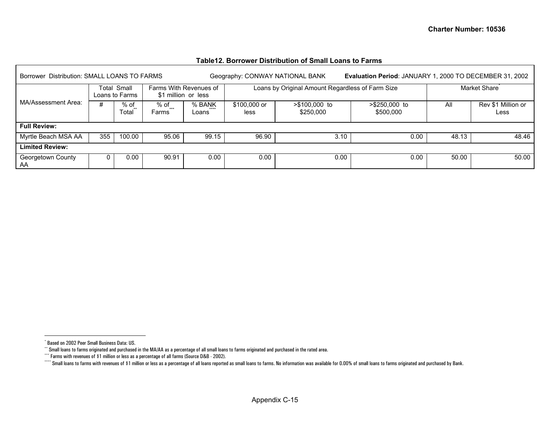<span id="page-35-3"></span><span id="page-35-2"></span><span id="page-35-1"></span><span id="page-35-0"></span>

| Borrower Distribution: SMALL LOANS TO FARMS |                               |        |                                               |                          |                      | Geography: CONWAY NATIONAL BANK                  | Evaluation Period: JANUARY 1, 2000 TO DECEMBER 31, 2002 |                           |                            |  |  |  |
|---------------------------------------------|-------------------------------|--------|-----------------------------------------------|--------------------------|----------------------|--------------------------------------------------|---------------------------------------------------------|---------------------------|----------------------------|--|--|--|
|                                             | Total Small<br>Loans to Farms |        | Farms With Revenues of<br>\$1 million or less |                          |                      | Loans by Original Amount Regardless of Farm Size |                                                         | Market Share <sup>®</sup> |                            |  |  |  |
| MA/Assessment Area:                         | % of<br>Total                 |        | % of<br>Farms                                 | % BANK<br>$***$<br>Loans | \$100,000 or<br>less | $> $100.000$ to<br>\$250,000                     | $> $250,000$ to<br>\$500,000                            | All                       | Rev \$1 Million or<br>Less |  |  |  |
| <b>Full Review:</b>                         |                               |        |                                               |                          |                      |                                                  |                                                         |                           |                            |  |  |  |
| Myrtle Beach MSA AA                         | 355                           | 100.00 | 95.06                                         | 99.15                    | 96.90                | 3.10                                             | 0.00                                                    | 48.13                     | 48.46                      |  |  |  |
| <b>Limited Review:</b>                      |                               |        |                                               |                          |                      |                                                  |                                                         |                           |                            |  |  |  |
| Georgetown County<br>AA                     |                               | 0.00   | 90.91                                         | 0.00                     | 0.00                 | 0.00                                             | 0.00                                                    | 50.00                     | 50.00                      |  |  |  |

#### **Table12. Borrower Distribution of Small Loans to Farms**

<sup>\*</sup> Based on 2002 Peer Small Business Data: US.

 $^{\circ}$  Small loans to farms originated and purchased in the MA/AA as a percentage of all small loans to farms originated and purchased in the rated area.

<sup>\*\*\*</sup> Farms with revenues of \$1 million or less as a percentage of all farms (Source D&B - 2002).

<sup>\*\*\*\*</sup> Small loans to farms with revenues of \$1 million or less as a percentage of all loans reported as small loans to information was available for 0.00% of small loans to farms originated and purchased by Bank.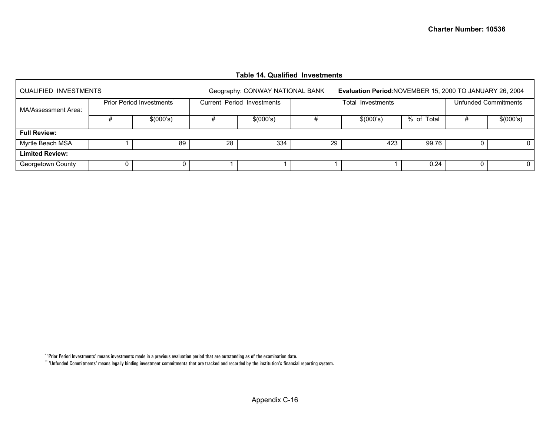#### **Table 14. Qualified Investments**

| QUALIFIED INVESTMENTS  |                          |    | Geography: CONWAY NATIONAL BANK |    | Evaluation Period: NOVEMBER 15, 2000 TO JANUARY 26, 2004 |            |   |           |  |  |  |
|------------------------|--------------------------|----|---------------------------------|----|----------------------------------------------------------|------------|---|-----------|--|--|--|
| MA/Assessment Area:    | Prior Period Investments |    | Current Period Investments      |    | Unfunded Commitments<br>Total Investments                |            |   |           |  |  |  |
|                        | \$(000's)                |    | \$(000's)                       |    | \$(000's)                                                | % of Total |   | \$(000's) |  |  |  |
| <b>Full Review:</b>    |                          |    |                                 |    |                                                          |            |   |           |  |  |  |
| Myrtle Beach MSA       | 89                       | 28 | 334                             | 29 | 423                                                      | 99.76      |   |           |  |  |  |
| <b>Limited Review:</b> |                          |    |                                 |    |                                                          |            |   |           |  |  |  |
| Georgetown County      | 0                        |    |                                 |    |                                                          | 0.24       | U |           |  |  |  |

<span id="page-36-1"></span><span id="page-36-0"></span>Г

<sup>\* &#</sup>x27;Prior Period Investments' means investments made in a previous evaluation period that are outstanding as of the examination date.

 $``$  'Unfunded Commitments' means legally binding investment commitments that are tracked and recorded by the institution's financial reporting system.